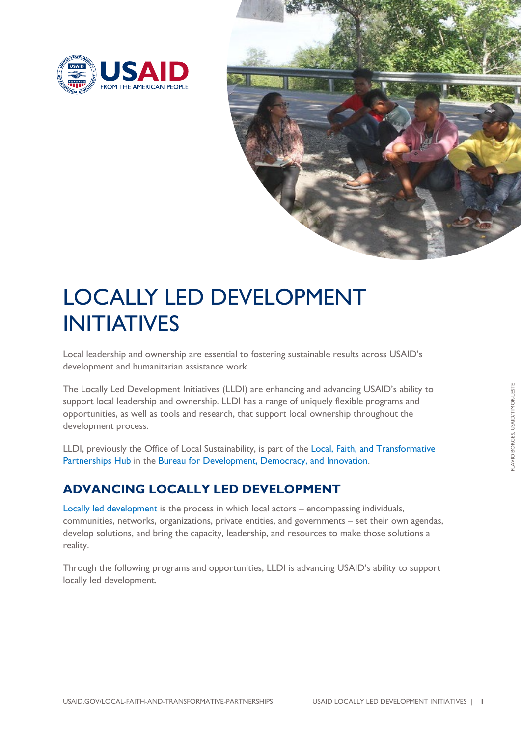



# LOCALLY LED DEVELOPMENT INITIATIVES

Local leadership and ownership are essential to fostering sustainable results across USAID's development and humanitarian assistance work.

The Locally Led Development Initiatives (LLDI) are enhancing and advancing USAID's ability to support local leadership and ownership. LLDI has a range of uniquely flexible programs and opportunities, as well as tools and research, that support local ownership throughout the development process.

LLDI, previously the Office of Local Sustainability, is part of the Local, Faith, and Transformative Partnerships Hub in the Bureau for Development, Democracy, and Innovation.

## **[ADVANCIN](https://www.usaid.gov/local-faith-and-transformative-partnerships)G LOCALLY [LED DEVELOPMENT](https://www.usaid.gov/who-we-are/organization/bureaus/bureau-development-democracy-innovation)**

Locally led development is the process in which local actors – encompassing individuals, communities, networks, organizations, private entities, and governments – set their own agendas, [develop solutions, and br](https://www.usaid.gov/documents/what-locally-led-development-fact-sheet)ing the capacity, leadership, and resources to make those solutions a reality.

Through the following programs and opportunities, LLDI is advancing USAID's ability to support locally led development.